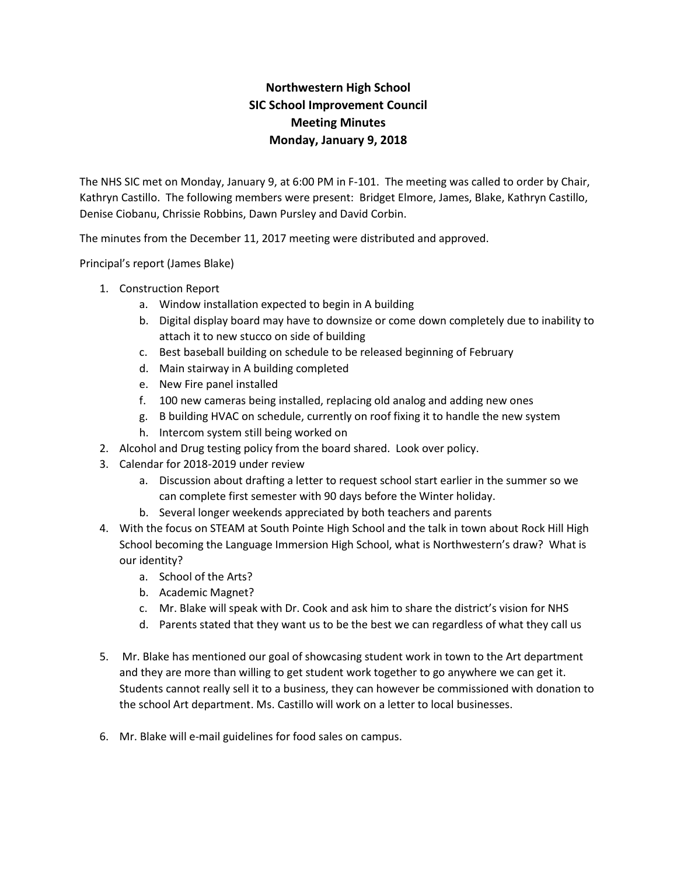## **Northwestern High School SIC School Improvement Council Meeting Minutes Monday, January 9, 2018**

The NHS SIC met on Monday, January 9, at 6:00 PM in F-101. The meeting was called to order by Chair, Kathryn Castillo. The following members were present: Bridget Elmore, James, Blake, Kathryn Castillo, Denise Ciobanu, Chrissie Robbins, Dawn Pursley and David Corbin.

The minutes from the December 11, 2017 meeting were distributed and approved.

Principal's report (James Blake)

- 1. Construction Report
	- a. Window installation expected to begin in A building
	- b. Digital display board may have to downsize or come down completely due to inability to attach it to new stucco on side of building
	- c. Best baseball building on schedule to be released beginning of February
	- d. Main stairway in A building completed
	- e. New Fire panel installed
	- f. 100 new cameras being installed, replacing old analog and adding new ones
	- g. B building HVAC on schedule, currently on roof fixing it to handle the new system
	- h. Intercom system still being worked on
- 2. Alcohol and Drug testing policy from the board shared. Look over policy.
- 3. Calendar for 2018-2019 under review
	- a. Discussion about drafting a letter to request school start earlier in the summer so we can complete first semester with 90 days before the Winter holiday.
	- b. Several longer weekends appreciated by both teachers and parents
- 4. With the focus on STEAM at South Pointe High School and the talk in town about Rock Hill High School becoming the Language Immersion High School, what is Northwestern's draw? What is our identity?
	- a. School of the Arts?
	- b. Academic Magnet?
	- c. Mr. Blake will speak with Dr. Cook and ask him to share the district's vision for NHS
	- d. Parents stated that they want us to be the best we can regardless of what they call us
- 5. Mr. Blake has mentioned our goal of showcasing student work in town to the Art department and they are more than willing to get student work together to go anywhere we can get it. Students cannot really sell it to a business, they can however be commissioned with donation to the school Art department. Ms. Castillo will work on a letter to local businesses.
- 6. Mr. Blake will e-mail guidelines for food sales on campus.